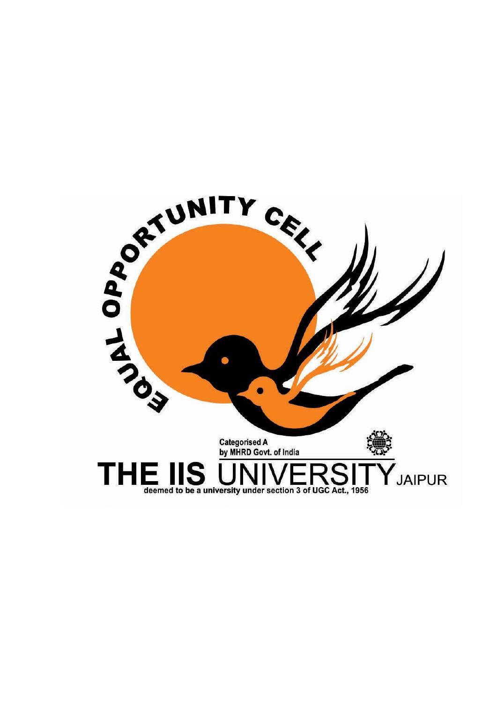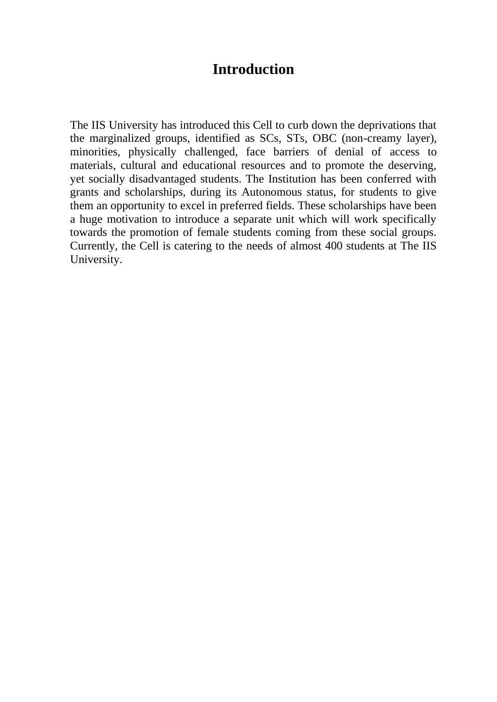## **Introduction**

The IIS University has introduced this Cell to curb down the deprivations that the marginalized groups, identified as SCs, STs, OBC (non-creamy layer), minorities, physically challenged, face barriers of denial of access to materials, cultural and educational resources and to promote the deserving, yet socially disadvantaged students. The Institution has been conferred with grants and scholarships, during its Autonomous status, for students to give them an opportunity to excel in preferred fields. These scholarships have been a huge motivation to introduce a separate unit which will work specifically towards the promotion of female students coming from these social groups. Currently, the Cell is catering to the needs of almost 400 students at The IIS University.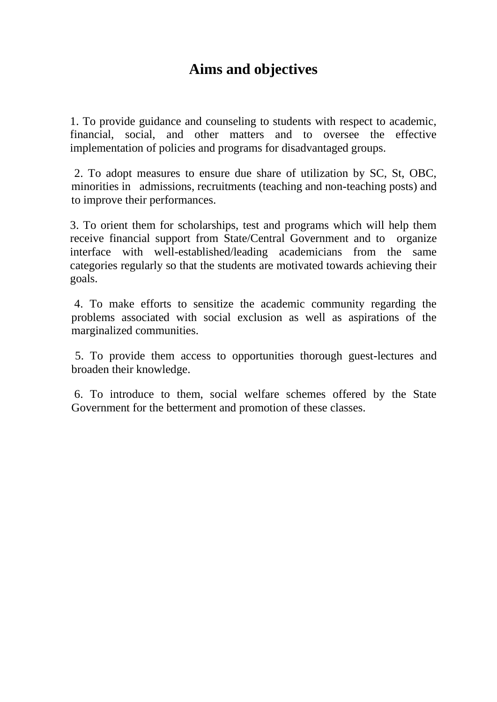# **Aims and objectives**

1. To provide guidance and counseling to students with respect to academic, financial, social, and other matters and to oversee the effective implementation of policies and programs for disadvantaged groups.

2. To adopt measures to ensure due share of utilization by SC, St, OBC, minorities in admissions, recruitments (teaching and non-teaching posts) and to improve their performances.

3. To orient them for scholarships, test and programs which will help them receive financial support from State/Central Government and to organize interface with well-established/leading academicians from the same categories regularly so that the students are motivated towards achieving their goals.

4. To make efforts to sensitize the academic community regarding the problems associated with social exclusion as well as aspirations of the marginalized communities.

 5. To provide them access to opportunities thorough guest-lectures and broaden their knowledge.

6. To introduce to them, social welfare schemes offered by the State Government for the betterment and promotion of these classes.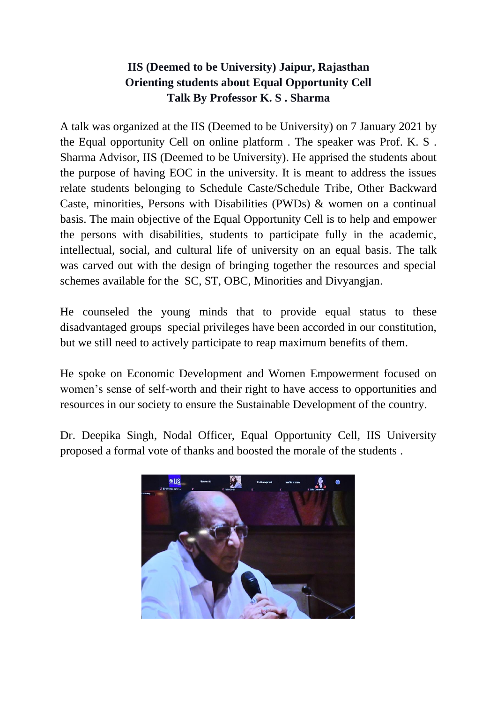### **IIS (Deemed to be University) Jaipur, Rajasthan Orienting students about Equal Opportunity Cell Talk By Professor K. S . Sharma**

A talk was organized at the IIS (Deemed to be University) on 7 January 2021 by the Equal opportunity Cell on online platform . The speaker was Prof. K. S . Sharma Advisor, IIS (Deemed to be University). He apprised the students about the purpose of having EOC in the university. It is meant to address the issues relate students belonging to Schedule Caste/Schedule Tribe, Other Backward Caste, minorities, Persons with Disabilities (PWDs) & women on a continual basis. The main objective of the Equal Opportunity Cell is to help and empower the persons with disabilities, students to participate fully in the academic, intellectual, social, and cultural life of university on an equal basis. The talk was carved out with the design of bringing together the resources and special schemes available for the SC, ST, OBC, Minorities and Divyangjan.

He counseled the young minds that to provide equal status to these disadvantaged groups special privileges have been accorded in our constitution, but we still need to actively participate to reap maximum benefits of them.

He spoke on Economic Development and Women Empowerment focused on women's sense of self-worth and their right to have access to opportunities and resources in our society to ensure the Sustainable Development of the country.

Dr. Deepika Singh, Nodal Officer, Equal Opportunity Cell, IIS University proposed a formal vote of thanks and boosted the morale of the students .

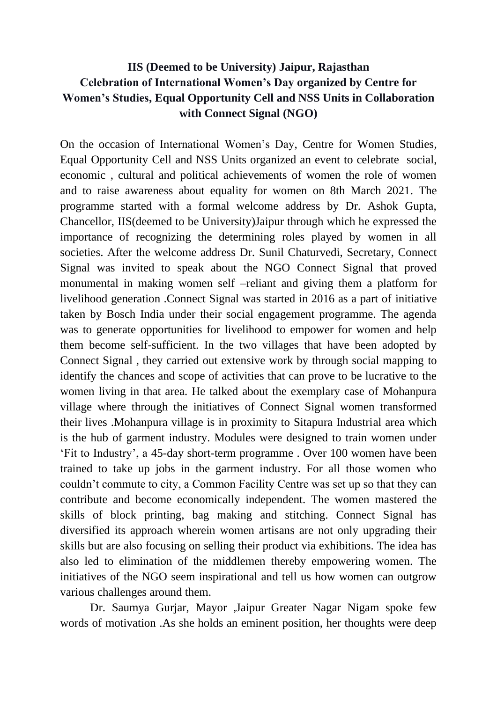#### **IIS (Deemed to be University) Jaipur, Rajasthan Celebration of International Women's Day organized by Centre for Women's Studies, Equal Opportunity Cell and NSS Units in Collaboration with Connect Signal (NGO)**

On the occasion of International Women's Day, Centre for Women Studies, Equal Opportunity Cell and NSS Units organized an event to celebrate social, economic , cultural and political achievements of women the role of women and to raise awareness about equality for women on 8th March 2021. The programme started with a formal welcome address by Dr. Ashok Gupta, Chancellor, IIS(deemed to be University)Jaipur through which he expressed the importance of recognizing the determining roles played by women in all societies. After the welcome address Dr. Sunil Chaturvedi, Secretary, Connect Signal was invited to speak about the NGO Connect Signal that proved monumental in making women self –reliant and giving them a platform for livelihood generation .Connect Signal was started in 2016 as a part of initiative taken by Bosch India under their social engagement programme. The agenda was to generate opportunities for livelihood to empower for women and help them become self-sufficient. In the two villages that have been adopted by Connect Signal , they carried out extensive work by through social mapping to identify the chances and scope of activities that can prove to be lucrative to the women living in that area. He talked about the exemplary case of Mohanpura village where through the initiatives of Connect Signal women transformed their lives .Mohanpura village is in proximity to Sitapura Industrial area which is the hub of garment industry. Modules were designed to train women under 'Fit to Industry', a 45-day short-term programme . Over 100 women have been trained to take up jobs in the garment industry. For all those women who couldn't commute to city, a Common Facility Centre was set up so that they can contribute and become economically independent. The women mastered the skills of block printing, bag making and stitching. Connect Signal has diversified its approach wherein women artisans are not only upgrading their skills but are also focusing on selling their product via exhibitions. The idea has also led to elimination of the middlemen thereby empowering women. The initiatives of the NGO seem inspirational and tell us how women can outgrow various challenges around them.

Dr. Saumya Gurjar, Mayor ,Jaipur Greater Nagar Nigam spoke few words of motivation .As she holds an eminent position, her thoughts were deep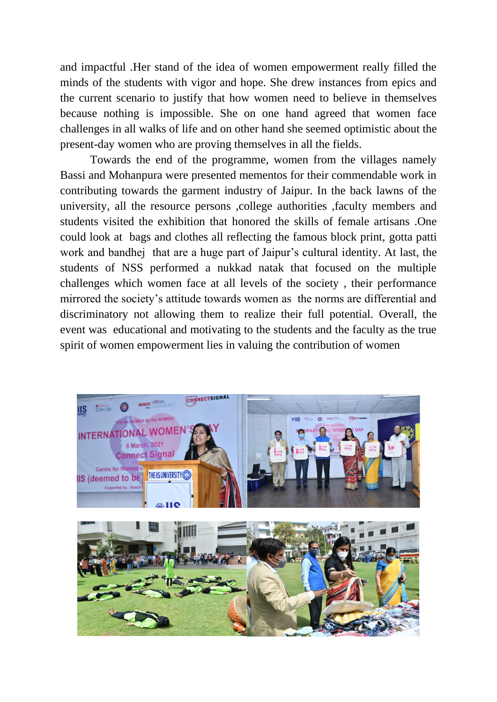and impactful .Her stand of the idea of women empowerment really filled the minds of the students with vigor and hope. She drew instances from epics and the current scenario to justify that how women need to believe in themselves because nothing is impossible. She on one hand agreed that women face challenges in all walks of life and on other hand she seemed optimistic about the present-day women who are proving themselves in all the fields.

Towards the end of the programme, women from the villages namely Bassi and Mohanpura were presented mementos for their commendable work in contributing towards the garment industry of Jaipur. In the back lawns of the university, all the resource persons ,college authorities ,faculty members and students visited the exhibition that honored the skills of female artisans .One could look at bags and clothes all reflecting the famous block print, gotta patti work and bandhej that are a huge part of Jaipur's cultural identity. At last, the students of NSS performed a nukkad natak that focused on the multiple challenges which women face at all levels of the society , their performance mirrored the society's attitude towards women as the norms are differential and discriminatory not allowing them to realize their full potential. Overall, the event was educational and motivating to the students and the faculty as the true spirit of women empowerment lies in valuing the contribution of women